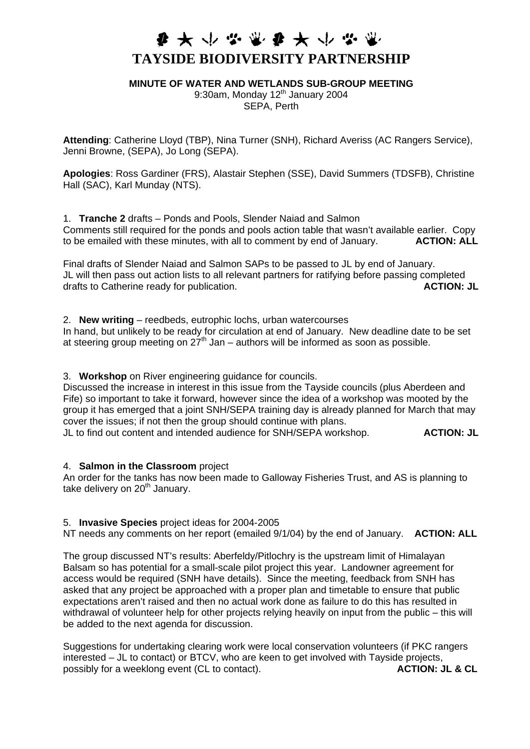## **# \* \* \* \* \* \* \* \* \* TAYSIDE BIODIVERSITY PARTNERSHIP**

**MINUTE OF WATER AND WETLANDS SUB-GROUP MEETING**

9:30am, Monday  $12<sup>th</sup>$  January 2004 SEPA, Perth

**Attending**: Catherine Lloyd (TBP), Nina Turner (SNH), Richard Averiss (AC Rangers Service), Jenni Browne, (SEPA), Jo Long (SEPA).

**Apologies**: Ross Gardiner (FRS), Alastair Stephen (SSE), David Summers (TDSFB), Christine Hall (SAC), Karl Munday (NTS).

1. **Tranche 2** drafts – Ponds and Pools, Slender Naiad and Salmon Comments still required for the ponds and pools action table that wasn't available earlier. Copy to be emailed with these minutes, with all to comment by end of January. **ACTION: ALL**

Final drafts of Slender Naiad and Salmon SAPs to be passed to JL by end of January. JL will then pass out action lists to all relevant partners for ratifying before passing completed drafts to Catherine ready for publication. **ACTION: JL** 

2. **New writing** – reedbeds, eutrophic lochs, urban watercourses

In hand, but unlikely to be ready for circulation at end of January. New deadline date to be set at steering group meeting on  $27<sup>th</sup>$  Jan – authors will be informed as soon as possible.

3. **Workshop** on River engineering guidance for councils.

Discussed the increase in interest in this issue from the Tayside councils (plus Aberdeen and Fife) so important to take it forward, however since the idea of a workshop was mooted by the group it has emerged that a joint SNH/SEPA training day is already planned for March that may cover the issues; if not then the group should continue with plans.

JL to find out content and intended audience for SNH/SEPA workshop. **ACTION: JL**

4. **Salmon in the Classroom** project

An order for the tanks has now been made to Galloway Fisheries Trust, and AS is planning to take delivery on 20<sup>th</sup> January.

5. **Invasive Species** project ideas for 2004-2005

NT needs any comments on her report (emailed 9/1/04) by the end of January. **ACTION: ALL** 

The group discussed NT's results: Aberfeldy/Pitlochry is the upstream limit of Himalayan Balsam so has potential for a small-scale pilot project this year. Landowner agreement for access would be required (SNH have details). Since the meeting, feedback from SNH has asked that any project be approached with a proper plan and timetable to ensure that public expectations aren't raised and then no actual work done as failure to do this has resulted in withdrawal of volunteer help for other projects relying heavily on input from the public – this will be added to the next agenda for discussion.

Suggestions for undertaking clearing work were local conservation volunteers (if PKC rangers interested – JL to contact) or BTCV, who are keen to get involved with Tayside projects, possibly for a weeklong event (CL to contact). **ACTION: JL & CL**